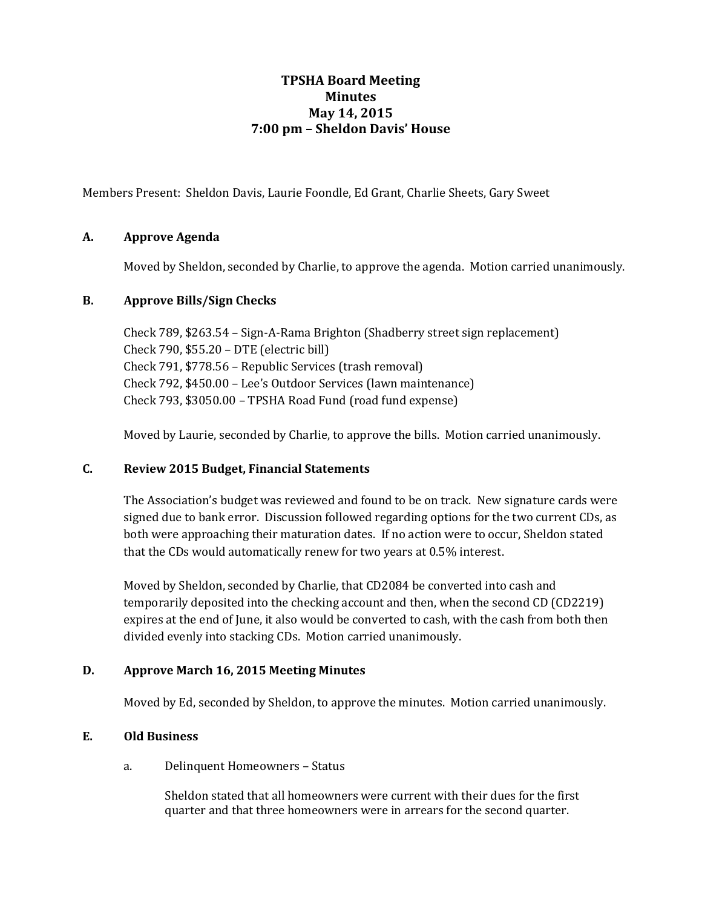# **TPSHA Board Meeting Minutes May 14, 2015 7:00 pm – Sheldon Davis' House**

Members Present: Sheldon Davis, Laurie Foondle, Ed Grant, Charlie Sheets, Gary Sweet

## **A. Approve Agenda**

Moved by Sheldon, seconded by Charlie, to approve the agenda. Motion carried unanimously.

### **B. Approve Bills/Sign Checks**

Check 789, \$263.54 – Sign-A-Rama Brighton (Shadberry street sign replacement) Check 790, \$55.20 – DTE (electric bill) Check 791, \$778.56 – Republic Services (trash removal) Check 792, \$450.00 – Lee's Outdoor Services (lawn maintenance) Check 793, \$3050.00 – TPSHA Road Fund (road fund expense)

Moved by Laurie, seconded by Charlie, to approve the bills. Motion carried unanimously.

### **C. Review 2015 Budget, Financial Statements**

The Association's budget was reviewed and found to be on track. New signature cards were signed due to bank error. Discussion followed regarding options for the two current CDs, as both were approaching their maturation dates. If no action were to occur, Sheldon stated that the CDs would automatically renew for two years at 0.5% interest.

Moved by Sheldon, seconded by Charlie, that CD2084 be converted into cash and temporarily deposited into the checking account and then, when the second CD (CD2219) expires at the end of June, it also would be converted to cash, with the cash from both then divided evenly into stacking CDs. Motion carried unanimously.

## **D. Approve March 16, 2015 Meeting Minutes**

Moved by Ed, seconded by Sheldon, to approve the minutes. Motion carried unanimously.

## **E. Old Business**

a. Delinquent Homeowners – Status

Sheldon stated that all homeowners were current with their dues for the first quarter and that three homeowners were in arrears for the second quarter.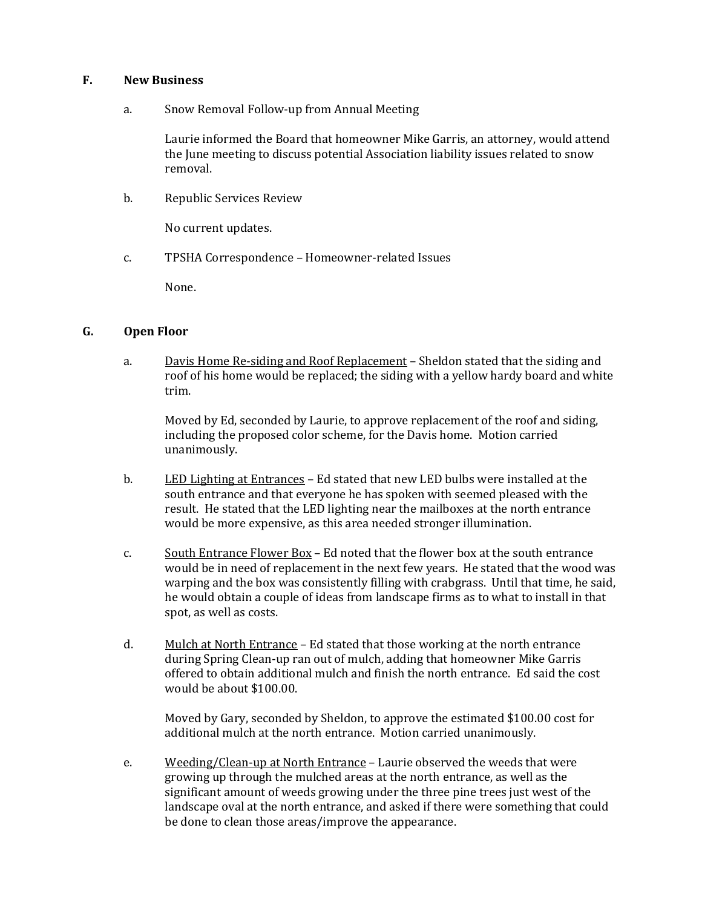#### **F. New Business**

a. Snow Removal Follow-up from Annual Meeting

Laurie informed the Board that homeowner Mike Garris, an attorney, would attend the June meeting to discuss potential Association liability issues related to snow removal.

b. Republic Services Review

No current updates.

c. TPSHA Correspondence – Homeowner-related Issues

None.

#### **G. Open Floor**

a. Davis Home Re-siding and Roof Replacement – Sheldon stated that the siding and roof of his home would be replaced; the siding with a yellow hardy board and white trim.

Moved by Ed, seconded by Laurie, to approve replacement of the roof and siding, including the proposed color scheme, for the Davis home. Motion carried unanimously.

- b. LED Lighting at Entrances Ed stated that new LED bulbs were installed at the south entrance and that everyone he has spoken with seemed pleased with the result. He stated that the LED lighting near the mailboxes at the north entrance would be more expensive, as this area needed stronger illumination.
- c. South Entrance Flower Box Ed noted that the flower box at the south entrance would be in need of replacement in the next few years. He stated that the wood was warping and the box was consistently filling with crabgrass. Until that time, he said, he would obtain a couple of ideas from landscape firms as to what to install in that spot, as well as costs.
- d. Mulch at North Entrance Ed stated that those working at the north entrance during Spring Clean-up ran out of mulch, adding that homeowner Mike Garris offered to obtain additional mulch and finish the north entrance. Ed said the cost would be about \$100.00.

Moved by Gary, seconded by Sheldon, to approve the estimated \$100.00 cost for additional mulch at the north entrance. Motion carried unanimously.

e. Weeding/Clean-up at North Entrance – Laurie observed the weeds that were growing up through the mulched areas at the north entrance, as well as the significant amount of weeds growing under the three pine trees just west of the landscape oval at the north entrance, and asked if there were something that could be done to clean those areas/improve the appearance.